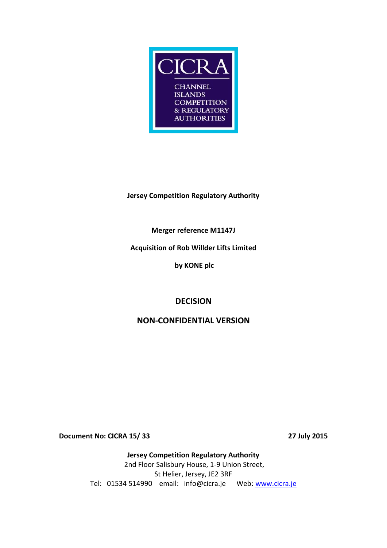

## **Jersey Competition Regulatory Authority**

**Merger reference M1147J**

**Acquisition of Rob Willder Lifts Limited**

**by KONE plc**

# **DECISION**

## **NON-CONFIDENTIAL VERSION**

**Document No: CICRA 15/ 33 27 July 2015**

**Jersey Competition Regulatory Authority** 2nd Floor Salisbury House, 1-9 Union Street, St Helier, Jersey, JE2 3RF Tel: 01534 514990 email: info@cicra.je Web: [www.cicra.je](http://www.cicra.je/)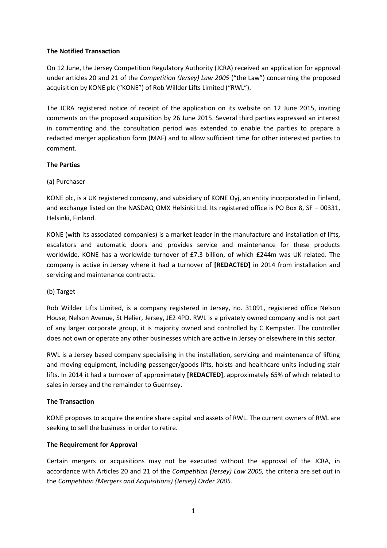#### **The Notified Transaction**

On 12 June, the Jersey Competition Regulatory Authority (JCRA) received an application for approval under articles 20 and 21 of the *Competition (Jersey) Law 2005* ("the Law") concerning the proposed acquisition by KONE plc ("KONE") of Rob Willder Lifts Limited ("RWL").

The JCRA registered notice of receipt of the application on its website on 12 June 2015, inviting comments on the proposed acquisition by 26 June 2015. Several third parties expressed an interest in commenting and the consultation period was extended to enable the parties to prepare a redacted merger application form (MAF) and to allow sufficient time for other interested parties to comment.

## **The Parties**

## (a) Purchaser

KONE plc, is a UK registered company, and subsidiary of KONE Oyj, an entity incorporated in Finland, and exchange listed on the NASDAQ OMX Helsinki Ltd. Its registered office is PO Box 8, SF – 00331, Helsinki, Finland.

KONE (with its associated companies) is a market leader in the manufacture and installation of lifts, escalators and automatic doors and provides service and maintenance for these products worldwide. KONE has a worldwide turnover of £7.3 billion, of which £244m was UK related. The company is active in Jersey where it had a turnover of **[REDACTED]** in 2014 from installation and servicing and maintenance contracts.

## (b) Target

Rob Willder Lifts Limited, is a company registered in Jersey, no. 31091, registered office Nelson House, Nelson Avenue, St Helier, Jersey, JE2 4PD. RWL is a privately owned company and is not part of any larger corporate group, it is majority owned and controlled by C Kempster. The controller does not own or operate any other businesses which are active in Jersey or elsewhere in this sector.

RWL is a Jersey based company specialising in the installation, servicing and maintenance of lifting and moving equipment, including passenger/goods lifts, hoists and healthcare units including stair lifts. In 2014 it had a turnover of approximately **[REDACTED]**, approximately 65% of which related to sales in Jersey and the remainder to Guernsey.

## **The Transaction**

KONE proposes to acquire the entire share capital and assets of RWL. The current owners of RWL are seeking to sell the business in order to retire.

## **The Requirement for Approval**

Certain mergers or acquisitions may not be executed without the approval of the JCRA, in accordance with Articles 20 and 21 of the *Competition (Jersey) Law 2005,* the criteria are set out in the *Competition (Mergers and Acquisitions) (Jersey) Order 2005*.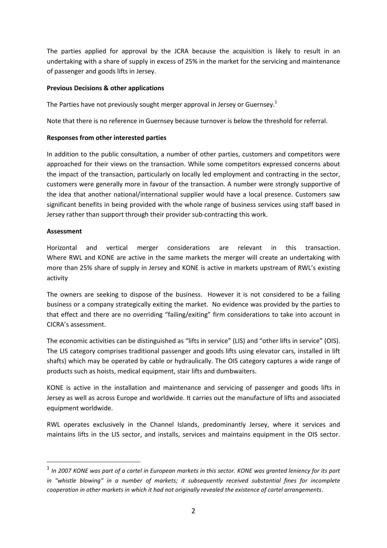The parties applied for approval by the JCRA because the acquisition is likely to result in an undertaking with a share of supply in excess of 25% in the market for the servicing and maintenance of passenger and goods lifts in Jersey.

#### **Previous Decisions & other applications**

The Parties have not previously sought merger approval in Jersey or Guernsey.<sup>1</sup>

Note that there is no reference in Guernsey because turnover is below the threshold for referral.

#### **Responses from other interested parties**

In addition to the public consultation, a number of other parties, customers and competitors were approached for their views on the transaction. While some competitors expressed concerns about the impact of the transaction, particularly on locally led employment and contracting in the sector, customers were generally more in favour of the transaction. A number were strongly supportive of the idea that another national/international supplier would have a local presence. Customers saw significant benefits in being provided with the whole range of business services using staff based in Jersey rather than support through their provider sub-contracting this work.

#### **Assessment**

1

Horizontal and vertical merger considerations are relevant in this transaction. Where RWL and KONE are active in the same markets the merger will create an undertaking with more than 25% share of supply in Jersey and KONE is active in markets upstream of RWL's existing activity

The owners are seeking to dispose of the business. However it is not considered to be a failing business or a company strategically exiting the market. No evidence was provided by the parties to that effect and there are no overriding "failing/exiting" firm considerations to take into account in CICRA's assessment.

The economic activities can be distinguished as "lifts in service" (LIS) and "other lifts in service" (OIS). The LIS category comprises traditional passenger and goods lifts using elevator cars, installed in lift shafts) which may be operated by cable or hydraulically. The OIS category captures a wide range of products such as hoists, medical equipment, stair lifts and dumbwaiters.

KONE is active in the installation and maintenance and servicing of passenger and goods lifts in Jersey as well as across Europe and worldwide. It carries out the manufacture of lifts and associated equipment worldwide.

RWL operates exclusively in the Channel Islands, predominantly Jersey, where it services and maintains lifts in the LIS sector, and installs, services and maintains equipment in the OIS sector.

<sup>1</sup> *In 2007 KONE was part of a cartel in European markets in this sector. KONE was granted leniency for its part in "whistle blowing" in a number of markets; it subsequently received substantial fines for incomplete cooperation in other markets in which it had not originally revealed the existence of cartel arrangements*.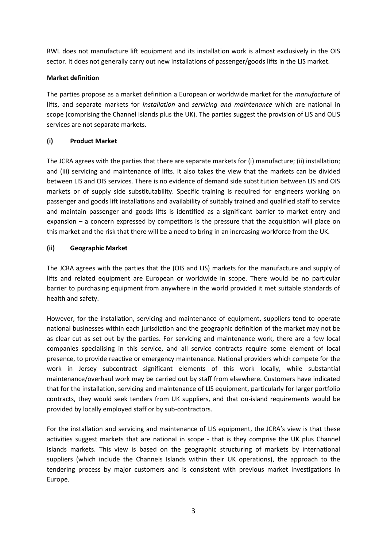RWL does not manufacture lift equipment and its installation work is almost exclusively in the OIS sector. It does not generally carry out new installations of passenger/goods lifts in the LIS market.

## **Market definition**

The parties propose as a market definition a European or worldwide market for the *manufacture* of lifts, and separate markets for *installation* and *servicing and maintenance* which are national in scope (comprising the Channel Islands plus the UK). The parties suggest the provision of LIS and OLIS services are not separate markets.

#### **(i) Product Market**

The JCRA agrees with the parties that there are separate markets for (i) manufacture; (ii) installation; and (iii) servicing and maintenance of lifts. It also takes the view that the markets can be divided between LIS and OIS services. There is no evidence of demand side substitution between LIS and OIS markets or of supply side substitutability. Specific training is required for engineers working on passenger and goods lift installations and availability of suitably trained and qualified staff to service and maintain passenger and goods lifts is identified as a significant barrier to market entry and expansion – a concern expressed by competitors is the pressure that the acquisition will place on this market and the risk that there will be a need to bring in an increasing workforce from the UK.

#### **(ii) Geographic Market**

The JCRA agrees with the parties that the (OIS and LIS) markets for the manufacture and supply of lifts and related equipment are European or worldwide in scope. There would be no particular barrier to purchasing equipment from anywhere in the world provided it met suitable standards of health and safety.

However, for the installation, servicing and maintenance of equipment, suppliers tend to operate national businesses within each jurisdiction and the geographic definition of the market may not be as clear cut as set out by the parties. For servicing and maintenance work, there are a few local companies specialising in this service, and all service contracts require some element of local presence, to provide reactive or emergency maintenance. National providers which compete for the work in Jersey subcontract significant elements of this work locally, while substantial maintenance/overhaul work may be carried out by staff from elsewhere. Customers have indicated that for the installation, servicing and maintenance of LIS equipment, particularly for larger portfolio contracts, they would seek tenders from UK suppliers, and that on-island requirements would be provided by locally employed staff or by sub-contractors.

For the installation and servicing and maintenance of LIS equipment, the JCRA's view is that these activities suggest markets that are national in scope - that is they comprise the UK plus Channel Islands markets. This view is based on the geographic structuring of markets by international suppliers (which include the Channels Islands within their UK operations), the approach to the tendering process by major customers and is consistent with previous market investigations in Europe.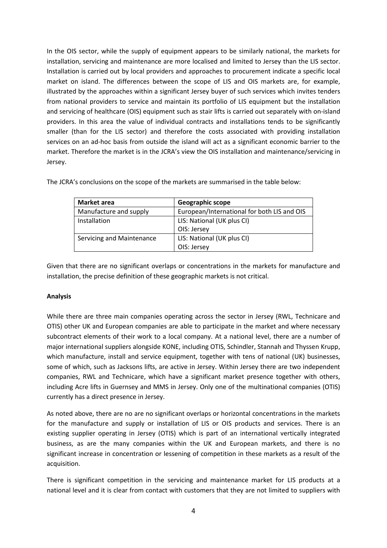In the OIS sector, while the supply of equipment appears to be similarly national, the markets for installation, servicing and maintenance are more localised and limited to Jersey than the LIS sector. Installation is carried out by local providers and approaches to procurement indicate a specific local market on island. The differences between the scope of LIS and OIS markets are, for example, illustrated by the approaches within a significant Jersey buyer of such services which invites tenders from national providers to service and maintain its portfolio of LIS equipment but the installation and servicing of healthcare (OIS) equipment such as stair lifts is carried out separately with on-island providers. In this area the value of individual contracts and installations tends to be significantly smaller (than for the LIS sector) and therefore the costs associated with providing installation services on an ad-hoc basis from outside the island will act as a significant economic barrier to the market. Therefore the market is in the JCRA's view the OIS installation and maintenance/servicing in Jersey.

| <b>Market area</b>        | Geographic scope                            |
|---------------------------|---------------------------------------------|
| Manufacture and supply    | European/International for both LIS and OIS |
| Installation              | LIS: National (UK plus CI)                  |
|                           | OIS: Jersey                                 |
| Servicing and Maintenance | LIS: National (UK plus CI)                  |
|                           | OIS: Jersey                                 |

The JCRA's conclusions on the scope of the markets are summarised in the table below:

Given that there are no significant overlaps or concentrations in the markets for manufacture and installation, the precise definition of these geographic markets is not critical.

## **Analysis**

While there are three main companies operating across the sector in Jersey (RWL, Technicare and OTIS) other UK and European companies are able to participate in the market and where necessary subcontract elements of their work to a local company. At a national level, there are a number of major international suppliers alongside KONE, including OTIS, Schindler, Stannah and Thyssen Krupp, which manufacture, install and service equipment, together with tens of national (UK) businesses, some of which, such as Jacksons lifts, are active in Jersey. Within Jersey there are two independent companies, RWL and Technicare, which have a significant market presence together with others, including Acre lifts in Guernsey and MMS in Jersey. Only one of the multinational companies (OTIS) currently has a direct presence in Jersey.

As noted above, there are no are no significant overlaps or horizontal concentrations in the markets for the manufacture and supply or installation of LIS or OIS products and services. There is an existing supplier operating in Jersey (OTIS) which is part of an international vertically integrated business, as are the many companies within the UK and European markets, and there is no significant increase in concentration or lessening of competition in these markets as a result of the acquisition.

There is significant competition in the servicing and maintenance market for LIS products at a national level and it is clear from contact with customers that they are not limited to suppliers with